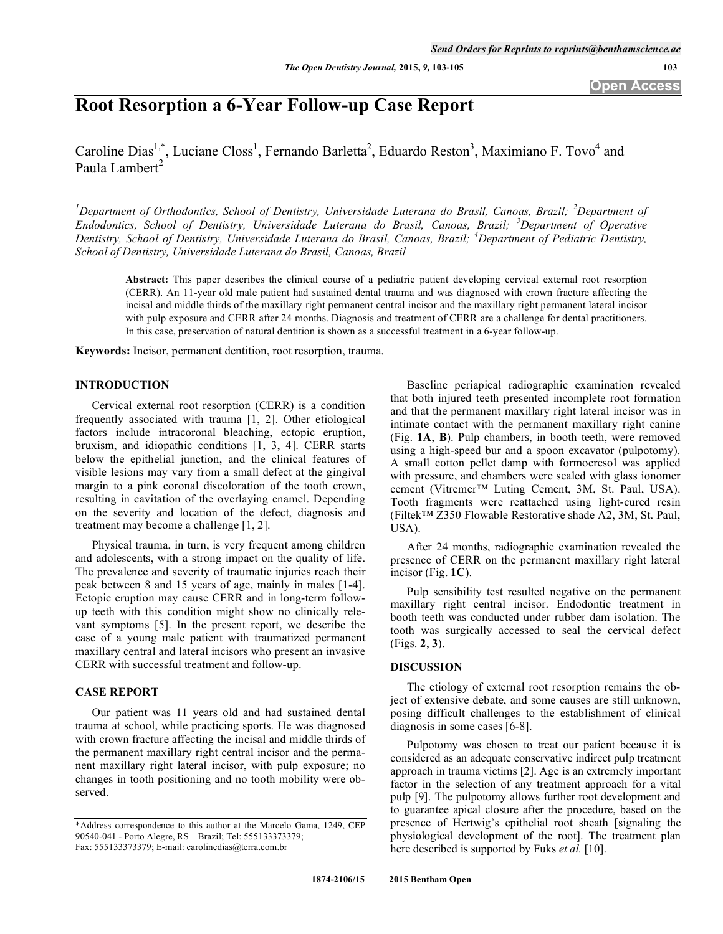# **Root Resorption a 6-Year Follow-up Case Report**

Caroline Dias<sup>1,\*</sup>, Luciane Closs<sup>1</sup>, Fernando Barletta<sup>2</sup>, Eduardo Reston<sup>3</sup>, Maximiano F. Tovo<sup>4</sup> and Paula Lambert<sup>2</sup>

<sup>1</sup>Department of Orthodontics, School of Dentistry, Universidade Luterana do Brasil, Canoas, Brazil; <sup>2</sup>Department of *Endodontics, School of Dentistry, Universidade Luterana do Brasil, Canoas, Brazil; <sup>3</sup> Department of Operative Dentistry, School of Dentistry, Universidade Luterana do Brasil, Canoas, Brazil; <sup>4</sup> Department of Pediatric Dentistry, School of Dentistry, Universidade Luterana do Brasil, Canoas, Brazil* 

**Abstract:** This paper describes the clinical course of a pediatric patient developing cervical external root resorption (CERR). An 11-year old male patient had sustained dental trauma and was diagnosed with crown fracture affecting the incisal and middle thirds of the maxillary right permanent central incisor and the maxillary right permanent lateral incisor with pulp exposure and CERR after 24 months. Diagnosis and treatment of CERR are a challenge for dental practitioners. In this case, preservation of natural dentition is shown as a successful treatment in a 6-year follow-up.

**Keywords:** Incisor, permanent dentition, root resorption, trauma.

### **INTRODUCTION**

Cervical external root resorption (CERR) is a condition frequently associated with trauma [1, 2]. Other etiological factors include intracoronal bleaching, ectopic eruption, bruxism, and idiopathic conditions [1, 3, 4]. CERR starts below the epithelial junction, and the clinical features of visible lesions may vary from a small defect at the gingival margin to a pink coronal discoloration of the tooth crown, resulting in cavitation of the overlaying enamel. Depending on the severity and location of the defect, diagnosis and treatment may become a challenge [1, 2].

Physical trauma, in turn, is very frequent among children and adolescents, with a strong impact on the quality of life. The prevalence and severity of traumatic injuries reach their peak between 8 and 15 years of age, mainly in males [1-4]. Ectopic eruption may cause CERR and in long-term followup teeth with this condition might show no clinically relevant symptoms [5]. In the present report, we describe the case of a young male patient with traumatized permanent maxillary central and lateral incisors who present an invasive CERR with successful treatment and follow-up.

# **CASE REPORT**

Our patient was 11 years old and had sustained dental trauma at school, while practicing sports. He was diagnosed with crown fracture affecting the incisal and middle thirds of the permanent maxillary right central incisor and the permanent maxillary right lateral incisor, with pulp exposure; no changes in tooth positioning and no tooth mobility were observed.

Baseline periapical radiographic examination revealed that both injured teeth presented incomplete root formation and that the permanent maxillary right lateral incisor was in intimate contact with the permanent maxillary right canine (Fig. **1A**, **B**). Pulp chambers, in booth teeth, were removed using a high-speed bur and a spoon excavator (pulpotomy). A small cotton pellet damp with formocresol was applied with pressure, and chambers were sealed with glass ionomer cement (Vitremer™ Luting Cement, 3M, St. Paul, USA). Tooth fragments were reattached using light-cured resin (Filtek™ Z350 Flowable Restorative shade A2, 3M, St. Paul, USA).

After 24 months, radiographic examination revealed the presence of CERR on the permanent maxillary right lateral incisor (Fig. **1C**).

Pulp sensibility test resulted negative on the permanent maxillary right central incisor. Endodontic treatment in booth teeth was conducted under rubber dam isolation. The tooth was surgically accessed to seal the cervical defect (Figs. **2**, **3**).

## **DISCUSSION**

The etiology of external root resorption remains the object of extensive debate, and some causes are still unknown, posing difficult challenges to the establishment of clinical diagnosis in some cases [6-8].

Pulpotomy was chosen to treat our patient because it is considered as an adequate conservative indirect pulp treatment approach in trauma victims [2]. Age is an extremely important factor in the selection of any treatment approach for a vital pulp [9]. The pulpotomy allows further root development and to guarantee apical closure after the procedure, based on the presence of Hertwig's epithelial root sheath [signaling the physiological development of the root]. The treatment plan here described is supported by Fuks *et al.* [10].

<sup>\*</sup>Address correspondence to this author at the Marcelo Gama, 1249, CEP 90540-041 - Porto Alegre, RS – Brazil; Tel: 555133373379; Fax: 555133373379; E-mail: carolinedias@terra.com.br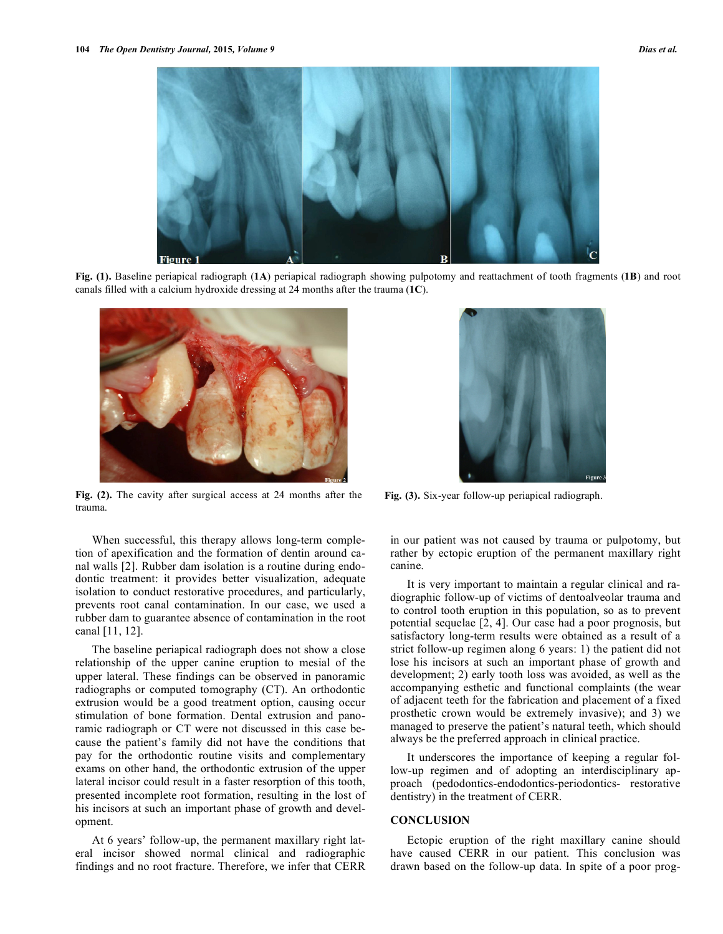

**Fig. (1).** Baseline periapical radiograph (**1A**) periapical radiograph showing pulpotomy and reattachment of tooth fragments (**1B**) and root canals filled with a calcium hydroxide dressing at 24 months after the trauma (**1C**).



**Fig. (2).** The cavity after surgical access at 24 months after the trauma.

When successful, this therapy allows long-term completion of apexification and the formation of dentin around canal walls [2]. Rubber dam isolation is a routine during endodontic treatment: it provides better visualization, adequate isolation to conduct restorative procedures, and particularly, prevents root canal contamination. In our case, we used a rubber dam to guarantee absence of contamination in the root canal [11, 12].

The baseline periapical radiograph does not show a close relationship of the upper canine eruption to mesial of the upper lateral. These findings can be observed in panoramic radiographs or computed tomography (CT). An orthodontic extrusion would be a good treatment option, causing occur stimulation of bone formation. Dental extrusion and panoramic radiograph or CT were not discussed in this case because the patient's family did not have the conditions that pay for the orthodontic routine visits and complementary exams on other hand, the orthodontic extrusion of the upper lateral incisor could result in a faster resorption of this tooth, presented incomplete root formation, resulting in the lost of his incisors at such an important phase of growth and development.

At 6 years' follow-up, the permanent maxillary right lateral incisor showed normal clinical and radiographic findings and no root fracture. Therefore, we infer that CERR



**Fig. (3).** Six-year follow-up periapical radiograph.

in our patient was not caused by trauma or pulpotomy, but rather by ectopic eruption of the permanent maxillary right canine.

It is very important to maintain a regular clinical and radiographic follow-up of victims of dentoalveolar trauma and to control tooth eruption in this population, so as to prevent potential sequelae [2, 4]. Our case had a poor prognosis, but satisfactory long-term results were obtained as a result of a strict follow-up regimen along 6 years: 1) the patient did not lose his incisors at such an important phase of growth and development; 2) early tooth loss was avoided, as well as the accompanying esthetic and functional complaints (the wear of adjacent teeth for the fabrication and placement of a fixed prosthetic crown would be extremely invasive); and 3) we managed to preserve the patient's natural teeth, which should always be the preferred approach in clinical practice.

It underscores the importance of keeping a regular follow-up regimen and of adopting an interdisciplinary approach (pedodontics-endodontics-periodontics- restorative dentistry) in the treatment of CERR.

### **CONCLUSION**

Ectopic eruption of the right maxillary canine should have caused CERR in our patient. This conclusion was drawn based on the follow-up data. In spite of a poor prog-